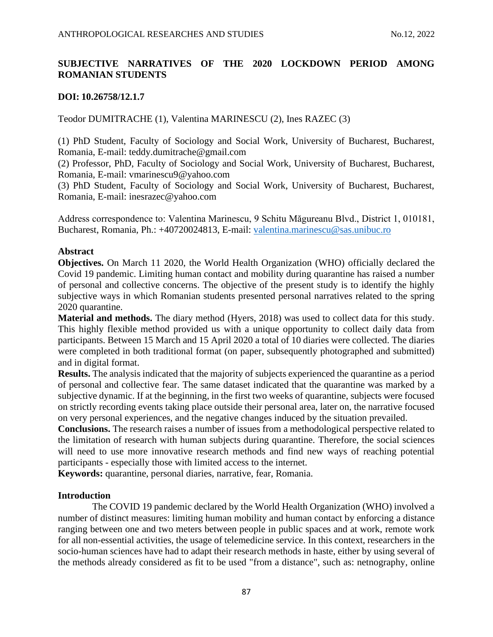# **SUBJECTIVE NARRATIVES OF THE 2020 LOCKDOWN PERIOD AMONG ROMANIAN STUDENTS**

### **DOI: 10.26758/12.1.7**

Teodor DUMITRACHE (1), Valentina MARINESCU (2), Ines RAZEC (3)

(1) PhD Student, Faculty of Sociology and Social Work, University of Bucharest, Bucharest, Romania, E-mail: [teddy.dumitrache@gmail.com](mailto:teddy.dumitrache@gmail.com)

(2) Professor, PhD, Faculty of Sociology and Social Work, University of Bucharest, Bucharest, Romania, E-mail: [vmarinescu9@yahoo.com](mailto:vmarinescu9@yahoo.com)

(3) PhD Student, Faculty of Sociology and Social Work, University of Bucharest, Bucharest, Romania, E-mail: [inesrazec@yahoo.com](mailto:inesrazec@yahoo.com) 

Address correspondence to: Valentina Marinescu, 9 Schitu Măgureanu Blvd., District 1, 010181, Bucharest, Romania, Ph.: +40720024813, E-mail:<valentina.marinescu@sas.unibuc.ro>

### **Abstract**

**Objectives.** On March 11 2020, the World Health Organization (WHO) officially declared the Covid 19 pandemic. Limiting human contact and mobility during quarantine has raised a number of personal and collective concerns. The objective of the present study is to identify the highly subjective ways in which Romanian students presented personal narratives related to the spring 2020 quarantine.

**Material and methods.** The diary method (Hyers, 2018) was used to collect data for this study. This highly flexible method provided us with a unique opportunity to collect daily data from participants. Between 15 March and 15 April 2020 a total of 10 diaries were collected. The diaries were completed in both traditional format (on paper, subsequently photographed and submitted) and in digital format.

**Results.** The analysis indicated that the majority of subjects experienced the quarantine as a period of personal and collective fear. The same dataset indicated that the quarantine was marked by a subjective dynamic. If at the beginning, in the first two weeks of quarantine, subjects were focused on strictly recording events taking place outside their personal area, later on, the narrative focused on very personal experiences, and the negative changes induced by the situation prevailed.

**Conclusions.** The research raises a number of issues from a methodological perspective related to the limitation of research with human subjects during quarantine. Therefore, the social sciences will need to use more innovative research methods and find new ways of reaching potential participants - especially those with limited access to the internet.

**Keywords:** quarantine, personal diaries, narrative, fear, Romania.

### **Introduction**

The COVID 19 pandemic declared by the World Health Organization (WHO) involved a number of distinct measures: limiting human mobility and human contact by enforcing a distance ranging between one and two meters between people in public spaces and at work, remote work for all non-essential activities, the usage of telemedicine service. In this context, researchers in the socio-human sciences have had to adapt their research methods in haste, either by using several of the methods already considered as fit to be used "from a distance", such as: netnography, online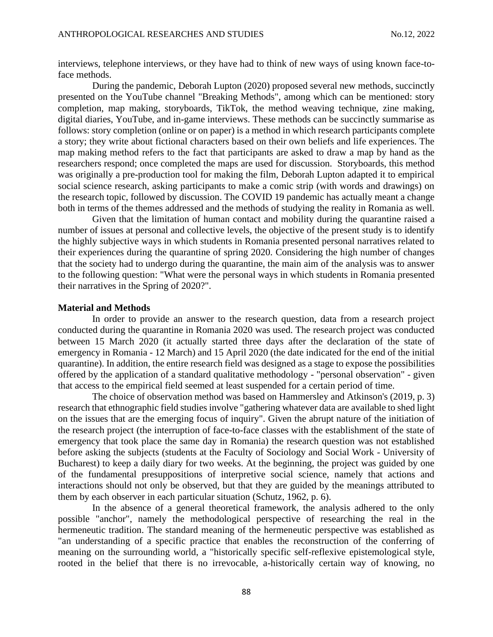interviews, telephone interviews, or they have had to think of new ways of using known face-toface methods.

During the pandemic, Deborah Lupton (2020) proposed several new methods, succinctly presented on the YouTube channel "Breaking Methods", among which can be mentioned: story completion, map making, storyboards, TikTok, the method weaving technique, zine making, digital diaries, YouTube, and in-game interviews. These methods can be succinctly summarise as follows: story completion (online or on paper) is a method in which research participants complete a story; they write about fictional characters based on their own beliefs and life experiences. The map making method refers to the fact that participants are asked to draw a map by hand as the researchers respond; once completed the maps are used for discussion. Storyboards, this method was originally a pre-production tool for making the film, Deborah Lupton adapted it to empirical social science research, asking participants to make a comic strip (with words and drawings) on the research topic, followed by discussion. The COVID 19 pandemic has actually meant a change both in terms of the themes addressed and the methods of studying the reality in Romania as well.

Given that the limitation of human contact and mobility during the quarantine raised a number of issues at personal and collective levels, the objective of the present study is to identify the highly subjective ways in which students in Romania presented personal narratives related to their experiences during the quarantine of spring 2020. Considering the high number of changes that the society had to undergo during the quarantine, the main aim of the analysis was to answer to the following question: "What were the personal ways in which students in Romania presented their narratives in the Spring of 2020?".

#### **Material and Methods**

In order to provide an answer to the research question, data from a research project conducted during the quarantine in Romania 2020 was used. The research project was conducted between 15 March 2020 (it actually started three days after the declaration of the state of emergency in Romania - 12 March) and 15 April 2020 (the date indicated for the end of the initial quarantine). In addition, the entire research field was designed as a stage to expose the possibilities offered by the application of a standard qualitative methodology - "personal observation" - given that access to the empirical field seemed at least suspended for a certain period of time.

The choice of observation method was based on Hammersley and Atkinson's (2019, p. 3) research that ethnographic field studies involve "gathering whatever data are available to shed light on the issues that are the emerging focus of inquiry". Given the abrupt nature of the initiation of the research project (the interruption of face-to-face classes with the establishment of the state of emergency that took place the same day in Romania) the research question was not established before asking the subjects (students at the Faculty of Sociology and Social Work - University of Bucharest) to keep a daily diary for two weeks. At the beginning, the project was guided by one of the fundamental presuppositions of interpretive social science, namely that actions and interactions should not only be observed, but that they are guided by the meanings attributed to them by each observer in each particular situation (Schutz, 1962, p. 6).

In the absence of a general theoretical framework, the analysis adhered to the only possible "anchor", namely the methodological perspective of researching the real in the hermeneutic tradition. The standard meaning of the hermeneutic perspective was established as "an understanding of a specific practice that enables the reconstruction of the conferring of meaning on the surrounding world, a "historically specific self-reflexive epistemological style, rooted in the belief that there is no irrevocable, a-historically certain way of knowing, no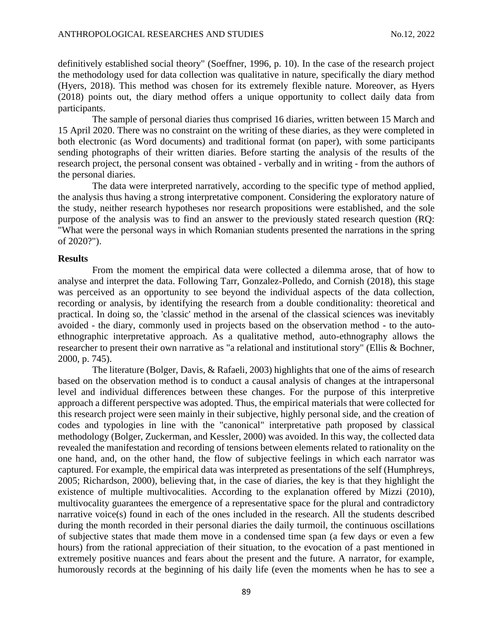definitively established social theory" (Soeffner, 1996, p. 10). In the case of the research project the methodology used for data collection was qualitative in nature, specifically the diary method (Hyers, 2018). This method was chosen for its extremely flexible nature. Moreover, as Hyers (2018) points out, the diary method offers a unique opportunity to collect daily data from participants.

The sample of personal diaries thus comprised 16 diaries, written between 15 March and 15 April 2020. There was no constraint on the writing of these diaries, as they were completed in both electronic (as Word documents) and traditional format (on paper), with some participants sending photographs of their written diaries. Before starting the analysis of the results of the research project, the personal consent was obtained - verbally and in writing - from the authors of the personal diaries.

The data were interpreted narratively, according to the specific type of method applied, the analysis thus having a strong interpretative component. Considering the exploratory nature of the study, neither research hypotheses nor research propositions were established, and the sole purpose of the analysis was to find an answer to the previously stated research question (RQ: "What were the personal ways in which Romanian students presented the narrations in the spring of 2020?").

#### **Results**

From the moment the empirical data were collected a dilemma arose, that of how to analyse and interpret the data. Following Tarr, Gonzalez-Polledo, and Cornish (2018), this stage was perceived as an opportunity to see beyond the individual aspects of the data collection, recording or analysis, by identifying the research from a double conditionality: theoretical and practical. In doing so, the 'classic' method in the arsenal of the classical sciences was inevitably avoided - the diary, commonly used in projects based on the observation method - to the autoethnographic interpretative approach. As a qualitative method, auto-ethnography allows the researcher to present their own narrative as "a relational and institutional story" (Ellis & Bochner, 2000, p. 745).

The literature (Bolger, Davis, & Rafaeli, 2003) highlights that one of the aims of research based on the observation method is to conduct a causal analysis of changes at the intrapersonal level and individual differences between these changes. For the purpose of this interpretive approach a different perspective was adopted. Thus, the empirical materials that were collected for this research project were seen mainly in their subjective, highly personal side, and the creation of codes and typologies in line with the "canonical" interpretative path proposed by classical methodology (Bolger, Zuckerman, and Kessler, 2000) was avoided. In this way, the collected data revealed the manifestation and recording of tensions between elements related to rationality on the one hand, and, on the other hand, the flow of subjective feelings in which each narrator was captured. For example, the empirical data was interpreted as presentations of the self (Humphreys, 2005; Richardson, 2000), believing that, in the case of diaries, the key is that they highlight the existence of multiple multivocalities. According to the explanation offered by Mizzi (2010), multivocality guarantees the emergence of a representative space for the plural and contradictory narrative voice(s) found in each of the ones included in the research. All the students described during the month recorded in their personal diaries the daily turmoil, the continuous oscillations of subjective states that made them move in a condensed time span (a few days or even a few hours) from the rational appreciation of their situation, to the evocation of a past mentioned in extremely positive nuances and fears about the present and the future. A narrator, for example, humorously records at the beginning of his daily life (even the moments when he has to see a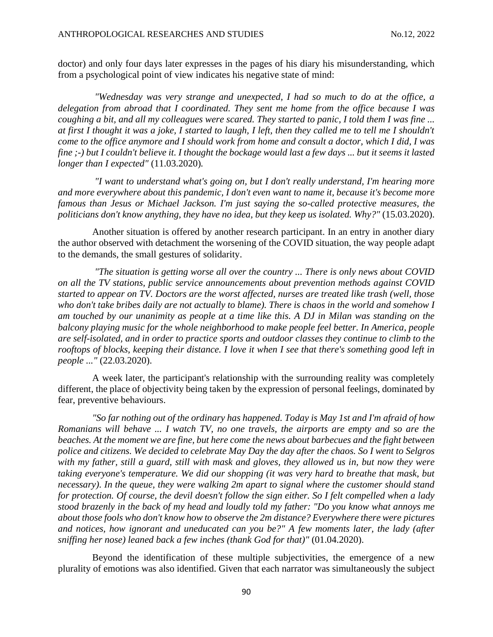doctor) and only four days later expresses in the pages of his diary his misunderstanding, which from a psychological point of view indicates his negative state of mind:

*"Wednesday was very strange and unexpected, I had so much to do at the office, a delegation from abroad that I coordinated. They sent me home from the office because I was coughing a bit, and all my colleagues were scared. They started to panic, I told them I was fine ... at first I thought it was a joke, I started to laugh, I left, then they called me to tell me I shouldn't come to the office anymore and I should work from home and consult a doctor, which I did, I was fine ;-) but I couldn't believe it. I thought the bockage would last a few days ... but it seems it lasted longer than I expected"* (11.03.2020)*.*

*"I want to understand what's going on, but I don't really understand, I'm hearing more and more everywhere about this pandemic, I don't even want to name it, because it's become more famous than Jesus or Michael Jackson. I'm just saying the so-called protective measures, the politicians don't know anything, they have no idea, but they keep us isolated. Why?"* (15.03.2020).

Another situation is offered by another research participant. In an entry in another diary the author observed with detachment the worsening of the COVID situation, the way people adapt to the demands, the small gestures of solidarity.

*"The situation is getting worse all over the country ... There is only news about COVID on all the TV stations, public service announcements about prevention methods against COVID started to appear on TV. Doctors are the worst affected, nurses are treated like trash (well, those who don't take bribes daily are not actually to blame). There is chaos in the world and somehow I am touched by our unanimity as people at a time like this. A DJ in Milan was standing on the balcony playing music for the whole neighborhood to make people feel better. In America, people are self-isolated, and in order to practice sports and outdoor classes they continue to climb to the rooftops of blocks, keeping their distance. I love it when I see that there's something good left in people ..."* (22.03.2020).

A week later, the participant's relationship with the surrounding reality was completely different, the place of objectivity being taken by the expression of personal feelings, dominated by fear, preventive behaviours.

*"So far nothing out of the ordinary has happened. Today is May 1st and I'm afraid of how Romanians will behave ... I watch TV, no one travels, the airports are empty and so are the beaches. At the moment we are fine, but here come the news about barbecues and the fight between police and citizens. We decided to celebrate May Day the day after the chaos. So I went to Selgros*  with my father, still a guard, still with mask and gloves, they allowed us in, but now they were *taking everyone's temperature. We did our shopping (it was very hard to breathe that mask, but necessary). In the queue, they were walking 2m apart to signal where the customer should stand for protection. Of course, the devil doesn't follow the sign either. So I felt compelled when a lady stood brazenly in the back of my head and loudly told my father: "Do you know what annoys me about those fools who don't know how to observe the 2m distance? Everywhere there were pictures and notices, how ignorant and uneducated can you be?" A few moments later, the lady (after sniffing her nose) leaned back a few inches (thank God for that)"* (01.04.2020).

Beyond the identification of these multiple subjectivities, the emergence of a new plurality of emotions was also identified. Given that each narrator was simultaneously the subject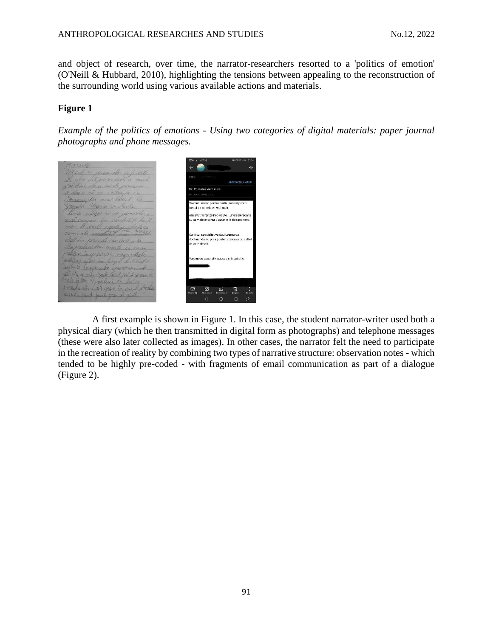and object of research, over time, the narrator-researchers resorted to a 'politics of emotion' (O'Neill & Hubbard, 2010), highlighting the tensions between appealing to the reconstruction of the surrounding world using various available actions and materials.

## **Figure 1**

*Example of the politics of emotions - Using two categories of digital materials: paper journal photographs and phone messages.*



A first example is shown in Figure 1. In this case, the student narrator-writer used both a physical diary (which he then transmitted in digital form as photographs) and telephone messages (these were also later collected as images). In other cases, the narrator felt the need to participate in the recreation of reality by combining two types of narrative structure: observation notes - which tended to be highly pre-coded - with fragments of email communication as part of a dialogue (Figure 2).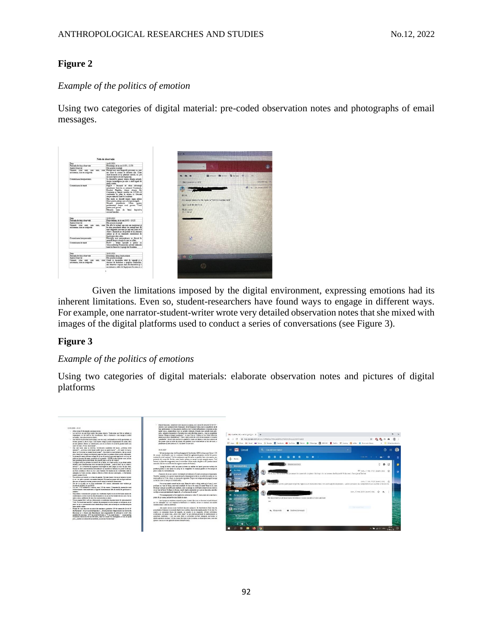## **Figure 2**

### *Example of the politics of emotion*

Using two categories of digital material: pre-coded observation notes and photographs of email messages.



Given the limitations imposed by the digital environment, expressing emotions had its inherent limitations. Even so, student-researchers have found ways to engage in different ways. For example, one narrator-student-writer wrote very detailed observation notes that she mixed with images of the digital platforms used to conduct a series of conversations (see Figure 3).

### **Figure 3**

### *Example of the politics of emotions*

Using two categories of digital materials: elaborate observation notes and pictures of digital platforms

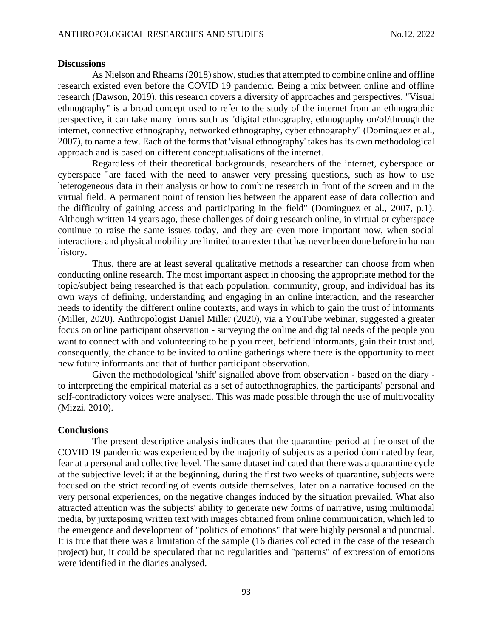#### **Discussions**

As Nielson and Rheams (2018) show, studies that attempted to combine online and offline research existed even before the COVID 19 pandemic. Being a mix between online and offline research (Dawson, 2019), this research covers a diversity of approaches and perspectives. "Visual ethnography" is a broad concept used to refer to the study of the internet from an ethnographic perspective, it can take many forms such as "digital ethnography, ethnography on/of/through the internet, connective ethnography, networked ethnography, cyber ethnography" (Dominguez et al., 2007), to name a few. Each of the forms that 'visual ethnography' takes has its own methodological approach and is based on different conceptualisations of the internet.

Regardless of their theoretical backgrounds, researchers of the internet, cyberspace or cyberspace "are faced with the need to answer very pressing questions, such as how to use heterogeneous data in their analysis or how to combine research in front of the screen and in the virtual field. A permanent point of tension lies between the apparent ease of data collection and the difficulty of gaining access and participating in the field" (Dominguez et al., 2007, p.1). Although written 14 years ago, these challenges of doing research online, in virtual or cyberspace continue to raise the same issues today, and they are even more important now, when social interactions and physical mobility are limited to an extent that has never been done before in human history.

Thus, there are at least several qualitative methods a researcher can choose from when conducting online research. The most important aspect in choosing the appropriate method for the topic/subject being researched is that each population, community, group, and individual has its own ways of defining, understanding and engaging in an online interaction, and the researcher needs to identify the different online contexts, and ways in which to gain the trust of informants (Miller, 2020). Anthropologist Daniel Miller (2020), via a YouTube webinar, suggested a greater focus on online participant observation - surveying the online and digital needs of the people you want to connect with and volunteering to help you meet, befriend informants, gain their trust and, consequently, the chance to be invited to online gatherings where there is the opportunity to meet new future informants and that of further participant observation.

Given the methodological 'shift' signalled above from observation - based on the diary to interpreting the empirical material as a set of autoethnographies, the participants' personal and self-contradictory voices were analysed. This was made possible through the use of multivocality (Mizzi, 2010).

#### **Conclusions**

The present descriptive analysis indicates that the quarantine period at the onset of the COVID 19 pandemic was experienced by the majority of subjects as a period dominated by fear, fear at a personal and collective level. The same dataset indicated that there was a quarantine cycle at the subjective level: if at the beginning, during the first two weeks of quarantine, subjects were focused on the strict recording of events outside themselves, later on a narrative focused on the very personal experiences, on the negative changes induced by the situation prevailed. What also attracted attention was the subjects' ability to generate new forms of narrative, using multimodal media, by juxtaposing written text with images obtained from online communication, which led to the emergence and development of "politics of emotions" that were highly personal and punctual. It is true that there was a limitation of the sample (16 diaries collected in the case of the research project) but, it could be speculated that no regularities and "patterns" of expression of emotions were identified in the diaries analysed.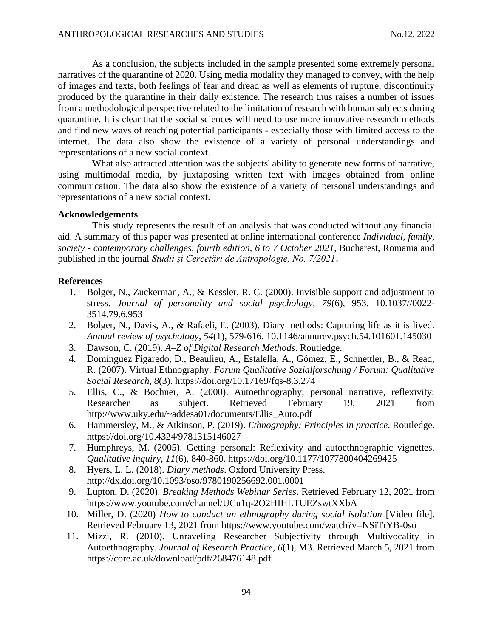As a conclusion, the subjects included in the sample presented some extremely personal narratives of the quarantine of 2020. Using media modality they managed to convey, with the help of images and texts, both feelings of fear and dread as well as elements of rupture, discontinuity produced by the quarantine in their daily existence. The research thus raises a number of issues from a methodological perspective related to the limitation of research with human subjects during quarantine. It is clear that the social sciences will need to use more innovative research methods and find new ways of reaching potential participants - especially those with limited access to the internet. The data also show the existence of a variety of personal understandings and representations of a new social context.

What also attracted attention was the subjects' ability to generate new forms of narrative, using multimodal media, by juxtaposing written text with images obtained from online communication. The data also show the existence of a variety of personal understandings and representations of a new social context.

### **Acknowledgements**

This study represents the result of an analysis that was conducted without any financial aid. A summary of this paper was presented at online international conference *Individual, family, society - contemporary challenges, fourth edition, 6 to 7 October 2021*, Bucharest, Romania and published in the journal *Studii şi Cercetări de Antropologie, No. 7/2021*.

### **References**

- 1. Bolger, N., Zuckerman, A., & Kessler, R. C. (2000). Invisible support and adjustment to stress. *Journal of personality and social psychology*, *79*(6), 953. [10.1037//0022-](http://dx.doi.org/10.1037/0022-3514.79.6.953) [3514.79.6.953](http://dx.doi.org/10.1037/0022-3514.79.6.953)
- 2. Bolger, N., Davis, A., & Rafaeli, E. (2003). Diary methods: Capturing life as it is lived. *Annual review of psychology*, *54*(1), 579-616. [10.1146/annurev.psych.54.101601.145030](http://dx.doi.org/10.1146/annurev.psych.54.101601.145030)
- 3. Dawson, C. (2019). *A–Z of Digital Research Methods*. Routledge.
- 4. Domínguez Figaredo, D., Beaulieu, A., Estalella, A., Gómez, E., Schnettler, B., & Read, R. (2007). Virtual Ethnography. *Forum Qualitative Sozialforschung / Forum: Qualitative Social Research*, *8*(3).<https://doi.org/10.17169/fqs-8.3.274>
- 5. Ellis, C., & Bochner, A. (2000). Autoethnography, personal narrative, reflexivity: Researcher as subject. Retrieved February 19, 2021 from [http://www.uky.edu/~addesa01/documents/Ellis\\_Auto.pdf](http://www.uky.edu/~addesa01/documents/Ellis_Auto.pdf)
- 6. Hammersley, M., & Atkinson, P. (2019). *Ethnography: Principles in practice*. Routledge. https://doi.org/10.4324/9781315146027
- 7. Humphreys, M. (2005). Getting personal: Reflexivity and autoethnographic vignettes. *Qualitative inquiry*, *11*(6), 840-860. [https://doi.org/10.1177/1077800404269425](https://doi.org/10.1177%2F1077800404269425)
- 8. Hyers, L. L. (2018). *Diary methods*. Oxford University Press. <http://dx.doi.org/10.1093/oso/9780190256692.001.0001>
- 9. Lupton, D. (2020). *Breaking Methods Webinar Series*. Retrieved February 12, 2021 from <https://www.youtube.com/channel/UCu1q-2O2HIHLTUEZswtXXbA>
- 10. Miller, D. (2020) *How to conduct an ethnography during social isolation* [Video file]. Retrieved February 13, 2021 from<https://www.youtube.com/watch?v=NSiTrYB-0so>
- 11. Mizzi, R. (2010). Unraveling Researcher Subjectivity through Multivocality in Autoethnography. *Journal of Research Practice*, *6*(1), M3. Retrieved March 5, 2021 from <https://core.ac.uk/download/pdf/268476148.pdf>